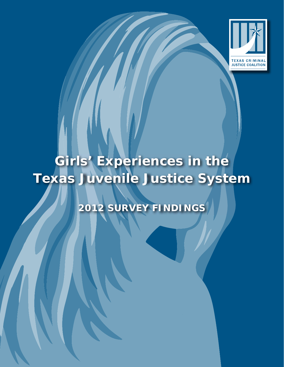

# Girls' Experiences in the **Texas Juvenile Justice System**

# **2012 SURVEY FINDINGS**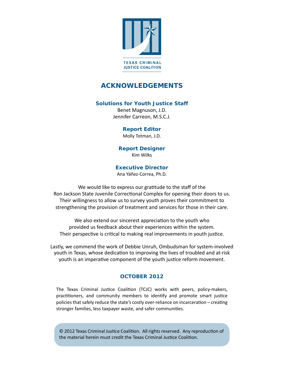

# **ACKNOWLEDGEMENTS**

#### **Solutions for Youth Justice Staff**

Benet Magnuson, J.D. Jennifer Carreon, M.S.C.J.

#### **Report Editor**

Molly Totman, J.D.

**Report Designer** Kim Wilks

#### **Executive Director**

Ana Yáñez-Correa, Ph.D.

We would like to express our gratitude to the staff of the Ron Jackson State Juvenile Correctional Complex for opening their doors to us. Their willingness to allow us to survey youth proves their commitment to strengthening the provision of treatment and services for those in their care.

We also extend our sincerest appreciation to the youth who provided us feedback about their experiences within the system. Their perspective is critical to making real improvements in youth justice.

Lastly, we commend the work of Debbie Unruh, Ombudsman for system-involved youth in Texas, whose dedication to improving the lives of troubled and at-risk youth is an imperative component of the youth justice reform movement.

### **OCTOBER 2012**

The Texas Criminal Justice Coalition (TCJC) works with peers, policy-makers, practitioners, and community members to identify and promote smart justice policies that safely reduce the state's costly over-reliance on incarceration – creating stronger families, less taxpayer waste, and safer communities.

© 2012 Texas Criminal Justice Coalition. All rights reserved. Any reproduction of the material herein must credit the Texas Criminal Justice Coalition.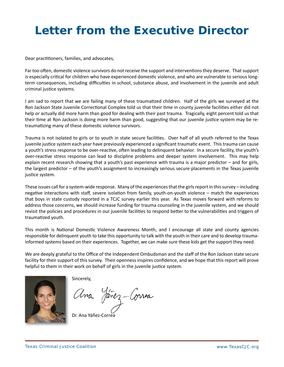# **Letter from the Executive Director**

Dear practitioners, families, and advocates,

Far too often, domestic violence survivors do not receive the support and interventions they deserve. That support is especially critical for children who have experienced domestic violence, and who are vulnerable to serious longterm consequences, including difficulties in school, substance abuse, and involvement in the juvenile and adult criminal justice systems.

I am sad to report that we are failing many of these traumatized children. Half of the girls we surveyed at the Ron Jackson State Juvenile Correctional Complex told us that their time in county juvenile facilities either did not help or actually did more harm than good for dealing with their past trauma. Tragically, eight percent told us that their time at Ron Jackson is doing more harm than good, suggesting that our juvenile justice system may be retraumatizing many of these domestic violence survivors.

Trauma is not isolated to girls or to youth in state secure facilities. Over half of all youth referred to the Texas juvenile justice system each year have previously experienced a significant traumatic event. This trauma can cause a youth's stress response to be over-reactive, often leading to delinquent behavior. In a secure facility, the youth's over-reacƟ ve stress response can lead to discipline problems and deeper system involvement. This may help explain recent research showing that a youth's past experience with trauma is a major predictor – and for girls, the largest predictor – of the youth's assignment to increasingly serious secure placements in the Texas juvenile justice system.

These issues call for a system-wide response. Many of the experiences that the girls report in this survey – including negative interactions with staff, severe isolation from family, youth-on-youth violence – match the experiences that boys in state custody reported in a TCJC survey earlier this year. As Texas moves forward with reforms to address those concerns, we should increase funding for trauma counseling in the juvenile system, and we should revisit the policies and procedures in our juvenile facilities to respond better to the vulnerabilities and triggers of traumatized youth.

This month is National Domestic Violence Awareness Month, and I encourage all state and county agencies responsible for delinquent youth to take this opportunity to talk with the youth in their care and to develop traumainformed systems based on their experiences. Together, we can make sure these kids get the support they need.

We are deeply grateful to the Office of the Independent Ombudsman and the staff of the Ron Jackson state secure facility for their support of this survey. Their openness inspires confidence, and we hope that this report will prove helpful to them in their work on behalf of girls in the juvenile justice system.



Sincerely,

fanez-Correa

Dr. Ana Yáñez-Correa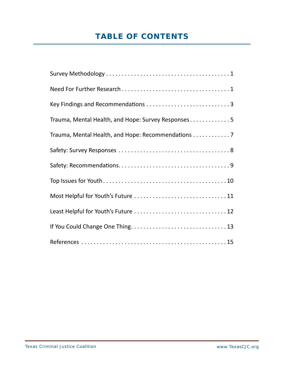# **TABLE OF CONTENTS**

| Key Findings and Recommendations 3                 |
|----------------------------------------------------|
| Trauma, Mental Health, and Hope: Survey Responses5 |
| Trauma, Mental Health, and Hope: Recommendations 7 |
|                                                    |
|                                                    |
|                                                    |
|                                                    |
|                                                    |
|                                                    |
|                                                    |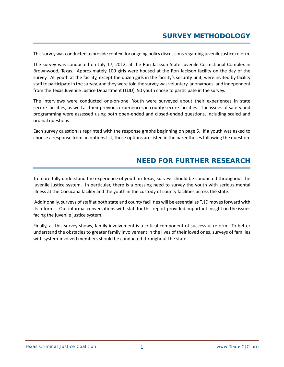# **SURVEY METHODOLOGY**

This survey was conducted to provide context for ongoing policy discussions regarding juvenile justice reform.

The survey was conducted on July 17, 2012, at the Ron Jackson State Juvenile Correctional Complex in Brownwood, Texas. Approximately 100 girls were housed at the Ron Jackson facility on the day of the survey. All youth at the facility, except the dozen girls in the facility's security unit, were invited by facility staff to participate in the survey, and they were told the survey was voluntary, anonymous, and independent from the Texas Juvenile Justice Department (TJJD). 50 youth chose to participate in the survey.

The interviews were conducted one-on-one. Youth were surveyed about their experiences in state secure facilities, as well as their previous experiences in county secure facilities. The issues of safety and programming were assessed using both open-ended and closed-ended questions, including scaled and ordinal questions.

Each survey question is reprinted with the response graphs beginning on page 5. If a youth was asked to choose a response from an options list, those options are listed in the parentheses following the question.

## **NEED FOR FURTHER RESEARCH**

To more fully understand the experience of youth in Texas, surveys should be conducted throughout the juvenile justice system. In particular, there is a pressing need to survey the youth with serious mental illness at the Corsicana facility and the youth in the custody of county facilities across the state.

Additionally, surveys of staff at both state and county facilities will be essential as TJJD moves forward with its reforms. Our informal conversations with staff for this report provided important insight on the issues facing the juvenile justice system.

Finally, as this survey shows, family involvement is a critical component of successful reform. To better understand the obstacles to greater family involvement in the lives of their loved ones, surveys of families with system-involved members should be conducted throughout the state.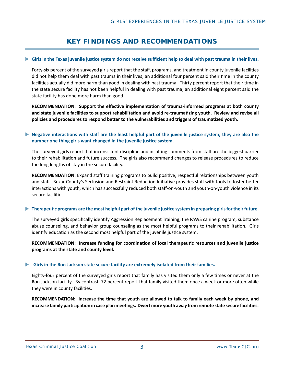# **KEY FINDINGS AND RECOMMENDATIONS**

#### **Girls in the Texas juvenile justice system do not receive sufficient help to deal with past trauma in their lives.**

Forty-six percent of the surveyed girls report that the staff, programs, and treatment in county juvenile facilities did not help them deal with past trauma in their lives; an additional four percent said their time in the county facilities actually did more harm than good in dealing with past trauma. Thirty percent report that their time in the state secure facility has not been helpful in dealing with past trauma; an additional eight percent said the state facility has done more harm than good.

**RECOMMENDATION: Support the eff ecƟ ve implementaƟ on of trauma-informed programs at both county and state juvenile faciliƟ es to support rehabilitaƟ on and avoid re-traumaƟ zing youth. Review and revise all policies and procedures to respond beƩ er to the vulnerabiliƟ es and triggers of traumaƟ zed youth.**

#### ▶ Negative interactions with staff are the least helpful part of the juvenile justice system; they are also the **number one thing girls want changed in the juvenile justice system.**

The surveyed girls report that inconsistent discipline and insulting comments from staff are the biggest barrier to their rehabilitation and future success. The girls also recommend changes to release procedures to reduce the long lengths of stay in the secure facility.

**RECOMMENDATION:** Expand staff training programs to build positive, respectful relationships between youth and staff. Bexar County's Seclusion and Restraint Reduction Initiative provides staff with tools to foster better interactions with youth, which has successfully reduced both staff-on-youth and youth-on-youth violence in its secure facilities.

#### ▶ Therapeutic programs are the most helpful part of the juvenile justice system in preparing girls for their future.

The surveyed girls specifically identify Aggression Replacement Training, the PAWS canine program, substance abuse counseling, and behavior group counseling as the most helpful programs to their rehabilitation. Girls identify education as the second most helpful part of the juvenile justice system.

**RECOMMENDATION:** Increase funding for coordination of local therapeutic resources and juvenile justice **programs at the state and county level.**

#### **Girls in the Ron Jackson state secure facility are extremely isolated from their families.**

Eighty-four percent of the surveyed girls report that family has visited them only a few times or never at the Ron Jackson facility. By contrast, 72 percent report that family visited them once a week or more often while they were in county facilities.

**RECOMMENDATION:** Increase the *time that youth are allowed to talk to family each week by phone, and* increase family participation in case plan meetings. Divert more youth away from remote state secure facilities.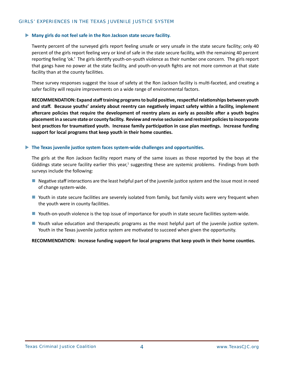#### **Many girls do not feel safe in the Ron Jackson state secure facility.**

Twenty percent of the surveyed girls report feeling unsafe or very unsafe in the state secure facility; only 40 percent of the girls report feeling very or kind of safe in the state secure facility, with the remaining 40 percent reporting feeling 'ok.' The girls identify youth-on-youth violence as their number one concern. The girls report that gangs have no power at the state facility, and youth-on-youth fights are not more common at that state facility than at the county facilities.

These survey responses suggest the issue of safety at the Ron Jackson facility is multi-faceted, and creating a safer facility will require improvements on a wide range of environmental factors.

**RECOMMENDATION: Expand staff training programs to build posiƟ ve, respecƞ ul relaƟ onships between youth**  and staff. Because youths' anxiety about reentry can negatively impact safety within a facility, implement aftercare policies that require the development of reentry plans as early as possible after a youth begins **placement in a secure state or county facility. Review and revise seclusion and restraint policies to incorporate best pracƟ ces for traumaƟ zed youth. Increase family parƟ cipaƟ on in case plan meeƟ ngs. Increase funding**  support for local programs that keep youth in their home counties.

#### $\blacktriangleright$  The Texas juvenile justice system faces system-wide challenges and opportunities.

The girls at the Ron Jackson facility report many of the same issues as those reported by the boys at the Giddings state secure facility earlier this year,<sup>1</sup> suggesting these are systemic problems. Findings from both surveys include the following:

- $\blacksquare$  Negative staff interactions are the least helpful part of the juvenile justice system and the issue most in need of change system-wide.
- Youth in state secure facilities are severely isolated from family, but family visits were very frequent when the youth were in county facilities.
- Youth-on-youth violence is the top issue of importance for youth in state secure facilities system-wide.
- Youth value education and therapeutic programs as the most helpful part of the juvenile justice system. Youth in the Texas juvenile justice system are motivated to succeed when given the opportunity.

#### **RECOMMENDATION: Increase funding support for local programs that keep youth in their home counties.**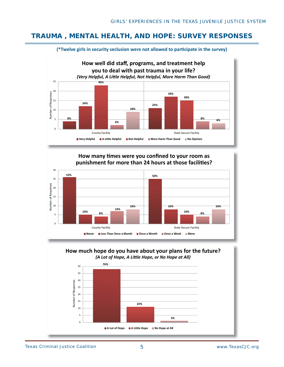## **TRAUMA , MENTAL HEALTH, AND HOPE: SURVEY RESPONSES**



#### **(\*Twelve girls in security seclusion were not allowed to participate in the survey)**

#### How many times were you confined to your room as **than 24 hours at those facilities? punishment for more than 24 hours at those faciliƟ es?**





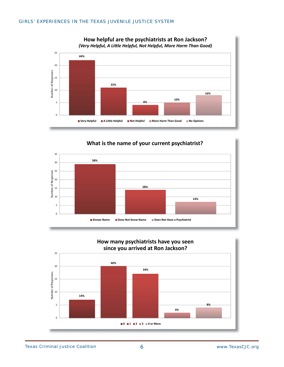





Texas Criminal Justice Coalition 6 b 6 6 www.TexasCJC.org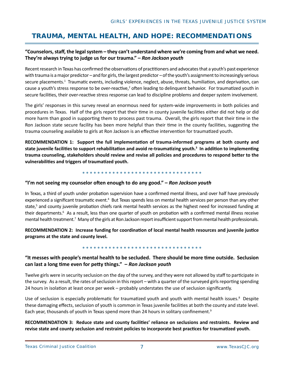# **TRAUMA, MENTAL HEALTH, AND HOPE: RECOMMENDATIONS**

#### **"Counselors, staff , the legal system – they can't understand where we're coming from and what we need. They're always trying to judge us for our trauma." –** *Ron Jackson youth*

Recent research in Texas has confirmed the observations of practitioners and advocates that a youth's past experience with trauma is a major predictor – and for girls, the largest predictor – of the youth's assignment to increasingly serious secure placements.<sup>1</sup> Traumatic events, including violence, neglect, abuse, threats, humiliation, and deprivation, can cause a youth's stress response to be over-reactive,<sup>2</sup> often leading to delinquent behavior. For traumatized youth in secure facilities, their over-reactive stress response can lead to discipline problems and deeper system involvement.

The girls' responses in this survey reveal an enormous need for system-wide improvements in both policies and procedures in Texas. Half of the girls report that their time in county juvenile facilities either did not help or did more harm than good in supporting them to process past trauma. Overall, the girls report that their time in the Ron Jackson state secure facility has been more helpful than their time in the county facilities, suggesting the trauma counseling available to girls at Ron Jackson is an effective intervention for traumatized youth.

RECOMMENDATION 1: Support the full implementation of trauma-informed programs at both county and **state juvenile facilities to support rehabilitation and avoid re-traumatizing youth.<sup>3</sup> In addition to implementing** trauma counseling, stakeholders should review and revise all policies and procedures to respond better to the **vulnerabiliƟ es and triggers of traumaƟ zed youth.**

#### **"I'm not seeing my counselor oŌ en enough to do any good." –** *Ron Jackson youth*

In Texas, a third of youth under probation supervision have a confirmed mental illness, and over half have previously experienced a significant traumatic event.<sup>4</sup> But Texas spends less on mental health services per person than any other state,<sup>5</sup> and county juvenile probation chiefs rank mental health services as the highest need for increased funding at their departments.<sup>6</sup> As a result, less than one quarter of youth on probation with a confirmed mental illness receive mental health treatment.<sup>7</sup> Many of the girls at Ron Jackson report insufficient support from mental health professionals.

**RECOMMENDATION 2: Increase funding for coordination of local mental health resources and juvenile justice programs at the state and county level.**

#### 

#### **"It messes with people's mental health to be secluded. There should be more Ɵ me outside. Seclusion can last a long Ɵ me even for peƩ y things." –** *Ron Jackson youth*

Twelve girls were in security seclusion on the day of the survey, and they were not allowed by staff to participate in the survey. As a result, the rates of seclusion in this report – with a quarter of the surveyed girls reporting spending 24 hours in isolation at least once per week – probably understates the use of seclusion significantly.

Use of seclusion is especially problematic for traumatized youth and youth with mental health issues.<sup>8</sup> Despite these damaging effects, seclusion of youth is common in Texas juvenile facilities at both the county and state level. Each year, thousands of youth in Texas spend more than 24 hours in solitary confinement.<sup>9</sup>

**RECOMMENDATION 3: Reduce state and county facilities' reliance on seclusions and restraints. Review and revise state and county seclusion and restraint policies to incorporate best pracƟ ces for traumaƟ zed youth.**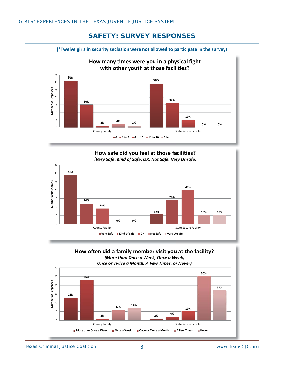## **SAFETY: SURVEY RESPONSES**



**58% 12% 24% 28% 18% 40% 0% 10% 0% 10%**  $\overline{0}$ 5 10 15 20 25 30 35 County Facility **State Secure Facility** State Secure Facility Number of Responses **How safe did you feel at those facilities? How safe did you feel at those faciliƟ es? (Very Safe, Kind of Safe, OK, Not Safe, Very Unsafe)** *(Very Safe, Kind of Safe, OK, Not Safe, Very Unsafe)* **Very Safe Kind of Safe OK Not Safe Very Unsafe**

#### **How often did a family member visit you at the facility? (More than Once a Week, Once a Week, A Few Times, or Never)** *Once or Twice a Month, A Few Times, or Never)*

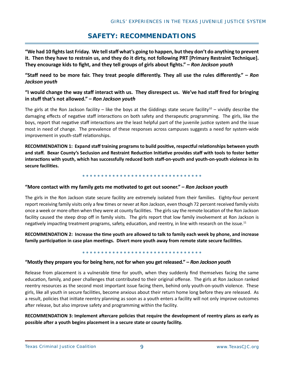# **SAFETY: RECOMMENDATIONS**

"We had 10 fights last Friday. We tell staff what's going to happen, but they don't do anything to prevent **it. Then they have to restrain us, and they do it dirty, not following PRT [Primary Restraint Technique].**  They encourage kids to fight, and they tell groups of girls about fights." – *Ron Jackson youth* 

**"Staff need to be more fair. They treat people diff erently. They all use the rules diff erently." –** *Ron Jackson youth*

#### **"I would change the way staff interact with us. They disrespect us. We've had staff fi red for bringing in stuff that's not allowed." –** *Ron Jackson youth*

The girls at the Ron Jackson facility – like the boys at the Giddings state secure facility<sup>10</sup> – vividly describe the damaging effects of negative staff interactions on both safety and therapeutic programming. The girls, like the boys, report that negative staff interactions are the least helpful part of the juvenile justice system and the issue most in need of change. The prevalence of these responses across campuses suggests a need for system-wide improvement in youth-staff relationships.

**RECOMMENDATION 1: Expand staff training programs to build posiƟ ve, respecƞ ul relaƟ onships between youth**  and staff. Bexar County's Seclusion and Restraint Reduction Initiative provides staff with tools to foster better **interacƟ ons with youth, which has successfully reduced both staff -on-youth and youth-on-youth violence in its**  secure facilities.

#### **"More contact with my family gets me moƟ vated to get out sooner." –** *Ron Jackson youth*

The girls in the Ron Jackson state secure facility are extremely isolated from their families. Eighty-four percent report receiving family visits only a few times or never at Ron Jackson, even though 72 percent received family visits once a week or more often when they were at county facilities. The girls say the remote location of the Ron Jackson facility caused the steep drop off in family visits. The girls report that low family involvement at Ron Jackson is negatively impacting treatment programs, safety, education, and reentry, in line with research on the issue.<sup>11</sup>

**RECOMMENDATION 2: Increase the Ɵ me youth are allowed to talk to family each week by phone, and increase family parƟ cipaƟ on in case plan meeƟ ngs. Divert more youth away from remote state secure faciliƟ es.**

#### **"Mostly they prepare you for being here, not for when you get released." –** *Ron Jackson youth*

Release from placement is a vulnerable time for youth, when they suddenly find themselves facing the same education, family, and peer challenges that contributed to their original offense. The girls at Ron Jackson ranked reentry resources as the second most important issue facing them, behind only youth-on-youth violence. These girls, like all youth in secure facilities, become anxious about their return home long before they are released. As a result, policies that initiate reentry planning as soon as a youth enters a facility will not only improve outcomes after release, but also improve safety and programming within the facility.

#### RECOMMENDATION 3: Implement aftercare policies that require the development of reentry plans as early as possible after a youth begins placement in a secure state or county facility.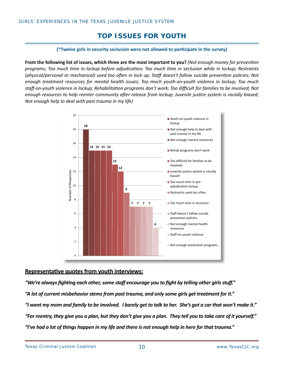# **TOP ISSUES FOR YOUTH**

#### (\*Twelve girls in security seclusion were not allowed to participate in the survey)

**From the following list of issues, which three are the most important to you?** *(Not enough money for prevention programs; Too much Ɵ me in lockup before adjudicaƟ on; Too much Ɵ me in seclusion while in lockup; Restraints (physical/personal or mechanical) used too often in lock up; Staff doesn't follow suicide prevention policies; Not enough treatment resources for mental health issues; Too much youth-on-youth violence in lockup; Too much staff -on-youth violence in lockup; RehabilitaƟ on programs don't work; Too diffi cult for families to be involved; Not enough resources to help reenter community after release from lockup; Juvenile justice system is racially biased; Not enough help to deal with past trauma in my life)*



#### **Representative quotes from youth interviews:**

*"We're always fi ghƟ ng each other, some staff encourage you to fi ght by telling other girls stuff ." "A lot of current misbehavior stems from past trauma, and only some girls get treatment for it." "I want my mom and family to be involved. I barely get to talk to her. She's got a car that won't make it." "For reentry, they give you a plan, but they don't give you a plan. They tell you to take care of it yourself." "I've had a lot of things happen in my life and there is not enough help in here for that trauma."*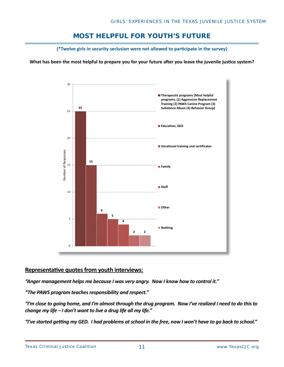# **MOST HELPFUL FOR YOUTH'S FUTURE**

(\*Twelve girls in security seclusion were not allowed to participate in the survey)

**What has been the most helpful to prepare you for your future after you leave the juvenile justice system?** 



#### **Representative quotes from youth interviews:**

*"Anger management helps me because I was very angry. Now I know how to control it."*

*"The PAWS program teaches responsibility and respect."*

*"I'm close to going home, and I'm almost through the drug program. Now I've realized I need to do this to change my life – I don't want to live a drug life all my life."*

*"I've started geƫ ng my GED. I had problems at school in the free, now I won't have to go back to school."*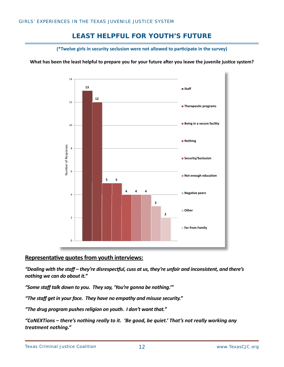# **LEAST HELPFUL FOR YOUTH'S FUTURE**

(\*Twelve girls in security seclusion were not allowed to participate in the survey)

**What has been the least helpful to prepare you for your future after you leave the juvenile justice system?** 



#### **RepresentaƟ ve quotes from youth interviews:**

*"Dealing with the staff – they're disrespecƞ ul, cuss at us, they're unfair and inconsistent, and there's nothing we can do about it."*

*"Some staff talk down to you. They say, 'You're gonna be nothing.'"*

*"The staff get in your face. They have no empathy and misuse security."*

*"The drug program pushes religion on youth. I don't want that."*

*"CoNEXTions – there's nothing really to it. 'Be good, be quiet.' That's not really working any treatment nothing."*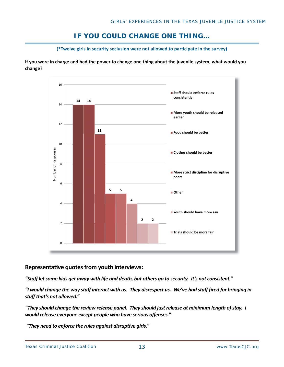# **IF YOU COULD CHANGE ONE THING…**

(\*Twelve girls in security seclusion were not allowed to participate in the survey)

**If you were in charge and had the power to change one thing about the juvenile system, what would you change?**



### **Representative quotes from youth interviews:**

*"Staff let some kids get away with life and death, but others go to security. It's not consistent."*

*"I would change the way staff interact with us. They disrespect us. We've had staff fi red for bringing in stuff that's not allowed."*

*"They should change the review release panel. They should just release at minimum length of stay. I would release everyone except people who have serious offenses."* 

"They need to enforce the rules against disruptive girls."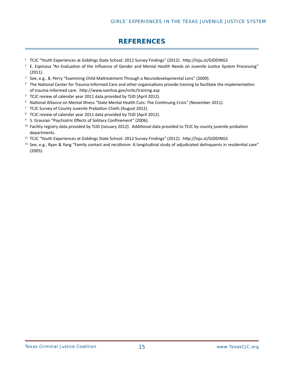# **REFERENCES**

- <sup>1</sup> TCJC "Youth Experiences at Giddings State School: 2012 Survey Findings" (2012). http://txju.st/GIDDINGS
- $^2$  E. Espinosa "An Evaluation of the Influence of Gender and Mental Health Needs on Juvenile Justice System Processing" (2011).
- 3 See, e.g., B. Perry "Examining Child Maltreatment Through a Neurodevelopmental Lens" (2009).
- $4$  The National Center for Trauma-Informed Care and other organizations provide training to facilitate the implementation of trauma-informed care. http://www.samhsa.gov/nctic/training.asp
- <sup>5</sup> TCJC review of calendar year 2011 data provided by TJJD (April 2012).
- <sup>6</sup> National Alliance on Mental Illness "State Mental Health Cuts: The Continuing Crisis" (November 2011).
- $7$  TCJC Survey of County Juvenile Probation Chiefs (August 2012).
- <sup>8</sup> TCJC review of calendar year 2011 data provided by TJJD (April 2012).
- <sup>9</sup> S. Grassian "Psychiatric Effects of Solitary Confinement" (2006).
- $10$  Facility registry data provided by TJJD (January 2012). Additional data provided to TCJC by county juvenile probation departments.
- <sup>11</sup> TCJC "Youth Experiences at Giddings State School: 2012 Survey Findings" (2012). http://txju.st/GIDDINGS
- $12$  See, e.g., Ryan & Yang "Family contact and recidivism: A longitudinal study of adjudicated delinquents in residential care" (2005).